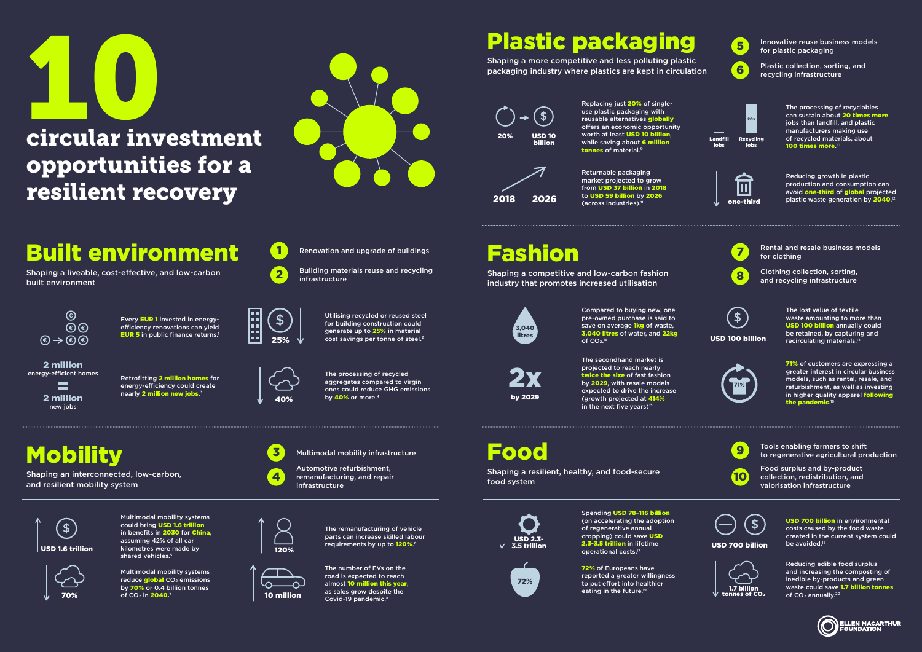Replacing just 20% of singleuse plastic packaging with reusable alternatives globally offers an economic opportunity worth at least USD 10 billion, while saving about 6 million tonnes of material.<sup>9</sup>



Returnable packaging market projected to grow from USD 37 billion in 2018 to USD 59 billion by 2026  $\sqrt{2}$  one-third

Compared to buying new, one pre-owned purchase is said to save on average **1kg** of waste, 3,040 litres of water, and 22kg of  $CO<sub>2</sub>$ <sup>13</sup>



The secondhand market is projected to reach nearly twice the size of fast fashion by 2029, with resale models expected to drive the increase (growth projected at 414% in the next five years) $15$ 





USD 700 billion in environmental costs caused by the food waste created in the current system could be avoided.<sup>18</sup>

72% of Europeans have reported a greater willingness to put effort into healthier eating in the future.<sup>19</sup>

Reducing edible food surplus and increasing the composting of inedible by-products and green waste could save 1.7 billion tonnes of CO<sub>2</sub> annually.<sup>20</sup>

by 2029

2x

**2** Building materials reuse and recycling infrastructure

Every EUR 1 invested in energyefficiency renovations can yield **EUR 5** in public finance returns.<sup>1</sup>

#### $\bigcirc$  $\odot$  $\circledast \rightarrow \circledast \circledast$

Utilising recycled or reused steel for building construction could generate up to 25% in material cost savings per tonne of steel.<sup>2</sup>

2 million energy-efficient homes

 $\equiv$ 2 million new jobs

Retrofitting 2 million homes for energy-efficiency could create nearly 2 million new jobs.<sup>3</sup>

**Mobility** 

and resilient mobility system

The processing of recycled aggregates compared to virgin ones could reduce GHG emissions by  $40\%$  or more.<sup>4</sup>

#### **Multimodal mobility infrastructure**

parts can increase skilled labour requirements by up to 120%.<sup>6</sup>

Multimodal mobility systems reduce global CO<sub>2</sub> emissions by 70% or 0.4 billion tonnes

shared vehicles.<sup>5</sup>

10

Food surplus and by-product collection, redistribution, and valorisation infrastructure







USD 700 billion

72%





40%



Automotive refurbishment,



remanufacturing, and repair infrastructure

USD 1.6 trillion

 $\mathfrak{F}$ 

Multimodal mobility systems could bring USD 1.6 trillion in benefits in 2030 for China. assuming 42% of all car kilometres were made by



The remanufacturing of vehicle

70%



The number of EVs on the road is expected to reach almost 10 million this year, as sales grow despite the Covid-19 pandemic.8

**1000**<br>Circular inv

### circular investment opportunities for a resilient recovery



### Built environment

Shaping a liveable, cost-effective, and low-carbon built environment



**1 Renovation and upgrade of buildings** 

Shaping an interconnected, low-carbon,

# Plastic packaging

Shaping a more competitive and less polluting plastic packaging industry where plastics are kept in circulation

## Fashion

Shaping a competitive and low-carbon fashion industry that promotes increased utilisation

Food

Shaping a resilient, healthy, and food-secure food system